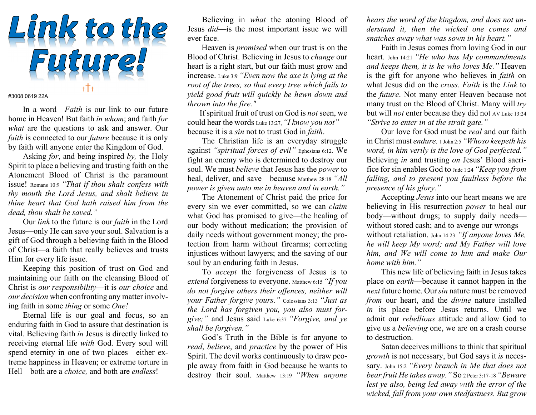

#3008 0619 22A

In a word—*Faith* is our link to our future home in Heaven! But faith in whom; and faith for what are the questions to ask and answer. Our faith is connected to our *future* because it is only by faith will anyone enter the Kingdom of God.

Asking *for*, and being inspired by, the Holy Spirit to place a believing and trusting faith on the Atonement Blood of Christ is the paramount issue! Romans 10:9 "That if thou shalt confess with thy mouth the Lord Jesus, and shalt believe in thine heart that God hath raised him from the dead, thou shalt be saved."

Our link to the future is our faith in the Lord Jesus—only He can save your soul. Salvation is a gift of God through a believing faith in the Blood of Christ—a faith that really believes and trusts Him for every life issue.

Keeping this position of trust on God and maintaining our faith on the cleansing Blood of Christ is our responsibility—it is our choice and our decision when confronting any matter involving faith in some thing or some One!

Eternal life is our goal and focus, so an enduring faith in God to assure that destination is vital. Believing faith in Jesus is directly linked to receiving eternal life with God. Every soul will spend eternity in one of two places—either extreme happiness in Heaven; or extreme torture in Hell—both are a choice, and both are endless!

Believing in what the atoning Blood of Jesus did—is the most important issue we will ever face.

 Heaven is promised when our trust is on the Blood of Christ. Believing in Jesus to change our heart is a right start, but our faith must grow and increase. Luke 3:9 "Even now the axe is lying at the root of the trees, so that every tree which fails to yield good fruit will quickly be hewn down and thrown into the fire."

 If spiritual fruit of trust on God is not seen, we could hear the words Luke 13:27, "I know you not" because it is a sin not to trust God in faith.

 The Christian life is an everyday struggle against "spiritual forces of evil" Ephesians 6:12. We fight an enemy who is determined to destroy our soul. We must believe that Jesus has the power to heal, deliver, and save—because Matthew 28:18 "All power is given unto me in heaven and in earth."

The Atonement of Christ paid the price for every sin we ever committed, so we can claim what God has promised to give—the healing of our body without medication; the provision of daily needs without government money; the protection from harm without firearms; correcting injustices without lawyers; and the saving of our soul by an enduring faith in Jesus.

 To accept the forgiveness of Jesus is to extend forgiveness to everyone. Matthew 6:15 "If you do not forgive others their offences, neither will your Father forgive yours." Colossians 3:13 "Just as the Lord has forgiven you, you also must forgive;" and Jesus said Luke 6:37 "Forgive, and ye shall be forgiven."

 God's Truth in the Bible is for anyone to read, believe, and practice by the power of His Spirit. The devil works continuously to draw people away from faith in God because he wants to destroy their soul. Matthew 13:19 "When anyone

hears the word of the kingdom, and does not understand it, then the wicked one comes and snatches away what was sown in his heart."

 Faith in Jesus comes from loving God in our heart. John 14:21 "He who has My commandments and keeps them, it is he who loves Me." Heaven is the gift for anyone who believes in faith on what Jesus did on the *cross*. Faith is the Link to the future. Not many enter Heaven because not many trust on the Blood of Christ. Many will  $try$ but will not enter because they did not AV Luke 13:24 "Strive to enter in at the strait gate."

 Our love for God must be real and our faith in Christ must endure. 1 John 2:5 "Whoso keepeth his word, in him verily is the love of God perfected." Believing *in* and trusting *on* Jesus' Blood sacrifice for sin enables God to Jude 1:24 "Keep you from falling, and to present you faultless before the presence of his glory."

 Accepting Jesus into our heart means we are believing in His resurrection *power* to heal our body—without drugs; to supply daily needs without stored cash; and to avenge our wrongs without retaliation. John 14:23 "If anyone loves Me, he will keep My word; and My Father will love him, and We will come to him and make Our home with him."

 This new life of believing faith in Jesus takes place on earth—because it cannot happen in the next future home. Our sin nature must be removed from our heart, and the *divine* nature installed in its place before Jesus returns. Until we admit our rebellious attitude and allow God to give us a believing one, we are on a crash course to destruction.

 Satan deceives millions to think that spiritual growth is not necessary, but God says it is necessary. John 15:2 "Every branch in Me that does not bear fruit He takes away." So 2 Peter 3:17-18 "Beware lest ye also, being led away with the error of the wicked, fall from your own stedfastness. But grow